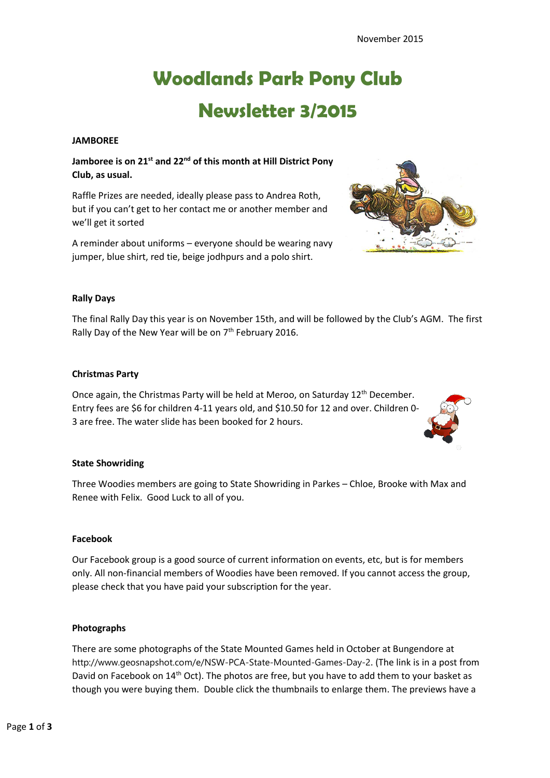# **Woodlands Park Pony Club Newsletter 3/2015**

#### **JAMBOREE**

### **Jamboree is on 21st and 22nd of this month at Hill District Pony Club, as usual.**

Raffle Prizes are needed, ideally please pass to Andrea Roth, but if you can't get to her contact me or another member and we'll get it sorted

A reminder about uniforms – everyone should be wearing navy jumper, blue shirt, red tie, beige jodhpurs and a polo shirt.



### **Rally Days**

The final Rally Day this year is on November 15th, and will be followed by the Club's AGM. The first Rally Day of the New Year will be on 7<sup>th</sup> February 2016.

#### **Christmas Party**

Once again, the Christmas Party will be held at Meroo, on Saturday 12<sup>th</sup> December. Entry fees are \$6 for children 4-11 years old, and \$10.50 for 12 and over. Children 0- 3 are free. The water slide has been booked for 2 hours.



### **State Showriding**

Three Woodies members are going to State Showriding in Parkes – Chloe, Brooke with Max and Renee with Felix. Good Luck to all of you.

#### **Facebook**

Our Facebook group is a good source of current information on events, etc, but is for members only. All non-financial members of Woodies have been removed. If you cannot access the group, please check that you have paid your subscription for the year.

#### **Photographs**

There are some photographs of the State Mounted Games held in October at Bungendore at http://www.geosnapshot.com/e/NSW-PCA-State-Mounted-Games-Day-2. (The link is in a post from David on Facebook on 14<sup>th</sup> Oct). The photos are free, but you have to add them to your basket as though you were buying them. Double click the thumbnails to enlarge them. The previews have a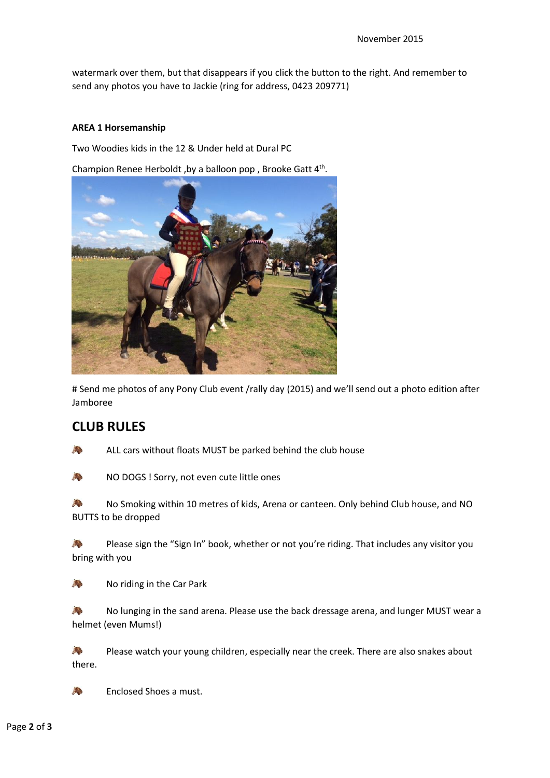watermark over them, but that disappears if you click the button to the right. And remember to send any photos you have to Jackie (ring for address, 0423 209771)

### **AREA 1 Horsemanship**

Two Woodies kids in the 12 & Under held at Dural PC

Champion Renee Herboldt, by a balloon pop, Brooke Gatt 4th.



# Send me photos of any Pony Club event /rally day (2015) and we'll send out a photo edition after Jamboree

## **CLUB RULES**

| e<br>S |  |
|--------|--|
|        |  |
|        |  |

ALL cars without floats MUST be parked behind the club house

NO DOGS ! Sorry, not even cute little ones A.

No Smoking within 10 metres of kids, Arena or canteen. Only behind Club house, and NO 新 BUTTS to be dropped

2 Please sign the "Sign In" book, whether or not you're riding. That includes any visitor you bring with you

新 No riding in the Car Park

 $\mathbb{R}^n$ No lunging in the sand arena. Please use the back dressage arena, and lunger MUST wear a helmet (even Mums!)

经 Please watch your young children, especially near the creek. There are also snakes about there.